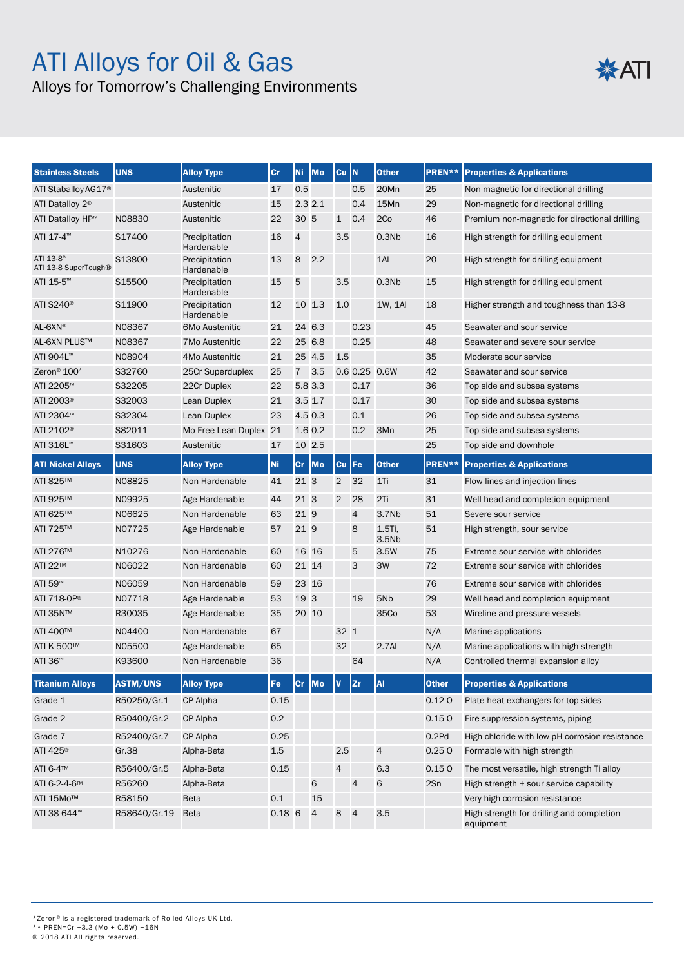# ATI Alloys for Oil & Gas

## Alloys for Tomorrow's Challenging Environments

| <b>Stainless Steels</b>           | <b>UNS</b>      | <b>Alloy Type</b>           | Cr       | <b>Ni</b>      | Mo        | Cu <sup>IN</sup> |                | <b>Other</b>                | PREN**       | <b>Properties &amp; Applications</b>                   |
|-----------------------------------|-----------------|-----------------------------|----------|----------------|-----------|------------------|----------------|-----------------------------|--------------|--------------------------------------------------------|
| ATI Staballoy AG17 <sup>®</sup>   |                 | Austenitic                  | 17       | 0.5            |           |                  | 0.5            | 20Mn                        | 25           | Non-magnetic for directional drilling                  |
| ATI Datalloy 2 <sup>®</sup>       |                 | Austenitic                  | 15       |                | 2.32.1    |                  | 0.4            | 15Mn                        | 29           | Non-magnetic for directional drilling                  |
| ATI Datalloy HP™                  | N08830          | Austenitic                  | 22       | 30 5           |           | $\mathbf{1}$     | 0.4            | 2Co                         | 46           | Premium non-magnetic for directional drilling          |
| ATI 17-4™                         | S17400          | Precipitation<br>Hardenable | 16       | $\overline{4}$ |           | 3.5              |                | 0.3N <sub>b</sub>           | 16           | High strength for drilling equipment                   |
| ATI 13-8™<br>ATI 13-8 SuperTough® | S13800          | Precipitation<br>Hardenable | 13       | 8              | 2.2       |                  |                | $1$ Al                      | 20           | High strength for drilling equipment                   |
| ATI 15-5™                         | S15500          | Precipitation<br>Hardenable | 15       | 5              |           | 3.5              |                | 0.3N <sub>b</sub>           | 15           | High strength for drilling equipment                   |
| ATI S240 <sup>®</sup>             | S11900          | Precipitation<br>Hardenable | 12       |                | 10 1.3    | 1.0              |                | 1W. 1AI                     | 18           | Higher strength and toughness than 13-8                |
| AL-6XN®                           | N08367          | <b>6Mo Austenitic</b>       | 21       |                | 24 6.3    |                  | 0.23           |                             | 45           | Seawater and sour service                              |
| AL-6XN PLUS™                      | N08367          | 7Mo Austenitic              | 22       |                | 25 6.8    |                  | 0.25           |                             | 48           | Seawater and severe sour service                       |
| ATI 904L™                         | N08904          | 4Mo Austenitic              | 21       |                | 25 4.5    | 1.5              |                |                             | 35           | Moderate sour service                                  |
| Zeron <sup>®</sup> 100*           | S32760          | 25Cr Superduplex            | 25       | $\overline{7}$ | 3.5       |                  | 0.6 0.25 0.6W  |                             | 42           | Seawater and sour service                              |
| ATI 2205™                         | S32205          | 22Cr Duplex                 | 22       |                | 5.8 3.3   |                  | 0.17           |                             | 36           | Top side and subsea systems                            |
| ATI 2003 <sup>®</sup>             | S32003          | Lean Duplex                 | 21       |                | $3.5$ 1.7 |                  | 0.17           |                             | 30           | Top side and subsea systems                            |
| ATI 2304™                         | S32304          | Lean Duplex                 | 23       |                | 4.5 0.3   |                  | 0.1            |                             | 26           | Top side and subsea systems                            |
| ATI 2102 <sup>®</sup>             | S82011          | Mo Free Lean Duplex 21      |          |                | 1.6 0.2   |                  | 0.2            | 3Mn                         | 25           | Top side and subsea systems                            |
| ATI 316L™                         | S31603          | Austenitic                  | 17       |                | 10 2.5    |                  |                |                             | 25           | Top side and downhole                                  |
| <b>ATI Nickel Alloys</b>          | <b>UNS</b>      | <b>Alloy Type</b>           | Ni       |                | Cr Mo     | <b>Cu</b>        | <b>IFe</b>     | <b>Other</b>                | PREN**       | <b>Properties &amp; Applications</b>                   |
| ATI 825™                          | N08825          | Non Hardenable              | 41       | 21 3           |           | $\overline{2}$   | 32             | $1$ Ti                      | 31           | Flow lines and injection lines                         |
| ATI 925™                          | N09925          | Age Hardenable              | 44       | 213            |           | $\overline{2}$   | 28             | 2Ti                         | 31           | Well head and completion equipment                     |
| ATI 625™                          | N06625          | Non Hardenable              | 63       | 21 9           |           |                  | $\overline{4}$ | 3.7Nb                       | 51           | Severe sour service                                    |
| ATI 725™                          | N07725          | Age Hardenable              | 57       | 21 9           |           |                  | 8              | 1.5Ti,<br>3.5N <sub>b</sub> | 51           | High strength, sour service                            |
| ATI 276™                          | N10276          | Non Hardenable              | 60       | 16 16          |           |                  | 5              | 3.5W                        | 75           | Extreme sour service with chlorides                    |
| ATI 22™                           | N06022          | Non Hardenable              | 60       | 21 14          |           |                  | 3              | 3W                          | 72           | Extreme sour service with chlorides                    |
| ATI 59™                           | N06059          | Non Hardenable              | 59       |                | 23 16     |                  |                |                             | 76           | Extreme sour service with chlorides                    |
| ATI 718-0P®                       | N07718          | Age Hardenable              | 53       | 19 3           |           |                  | 19             | 5N <sub>b</sub>             | 29           | Well head and completion equipment                     |
| ATI 35N™                          | R30035          | Age Hardenable              | 35       | 20 10          |           |                  |                | 35Co                        | 53           | Wireline and pressure vessels                          |
| ATI 400™                          | N04400          | Non Hardenable              | 67       |                |           | 32 1             |                |                             | N/A          | Marine applications                                    |
| ATI K-500™                        | N05500          | Age Hardenable              | 65       |                |           | 32               |                | 2.7Al                       | N/A          | Marine applications with high strength                 |
| ATI 36 <sup>™</sup>               | K93600          | Non Hardenable              | 36       |                |           |                  | 64             |                             | N/A          | Controlled thermal expansion alloy                     |
| <b>Titanium Alloys</b>            | <b>ASTM/UNS</b> | <b>Alloy Type</b>           | Fe       |                | Cr Mo     | V                | <b>Zr</b>      | AI                          | <b>Other</b> | <b>Properties &amp; Applications</b>                   |
| Grade 1                           | R50250/Gr.1     | CP Alpha                    | 0.15     |                |           |                  |                |                             | 0.120        | Plate heat exchangers for top sides                    |
| Grade 2                           | R50400/Gr.2     | CP Alpha                    | 0.2      |                |           |                  |                |                             | 0.150        | Fire suppression systems, piping                       |
| Grade 7                           | R52400/Gr.7     | CP Alpha                    | 0.25     |                |           |                  |                |                             | 0.2Pd        | High chloride with low pH corrosion resistance         |
| ATI 425 <sup>®</sup>              | Gr.38           | Alpha-Beta                  | $1.5\,$  |                |           | 2.5              |                | 4                           | 0.250        | Formable with high strength                            |
| ATI 6-4™                          | R56400/Gr.5     | Alpha-Beta                  | 0.15     |                |           | 4                |                | 6.3                         | 0.150        | The most versatile, high strength Ti alloy             |
| ATI 6-2-4-6™                      | R56260          | Alpha-Beta                  |          |                | 6         |                  | $\overline{4}$ | 6                           | 2Sn          | High strength + sour service capability                |
| ATI 15Mo™                         | R58150          | <b>Beta</b>                 | 0.1      |                | 15        |                  |                |                             |              | Very high corrosion resistance                         |
| ATI 38-644™                       | R58640/Gr.19    | Beta                        | $0.18$ 6 |                | 4         | 8 4              |                | 3.5                         |              | High strength for drilling and completion<br>equipment |

**※ATI** 

\*Zeron® is a registered trademark of Rolled Alloys UK Ltd.

\*\* PREN=Cr +3.3 (Mo + 0.5W) +16N © 2018 ATI All rights reserved.